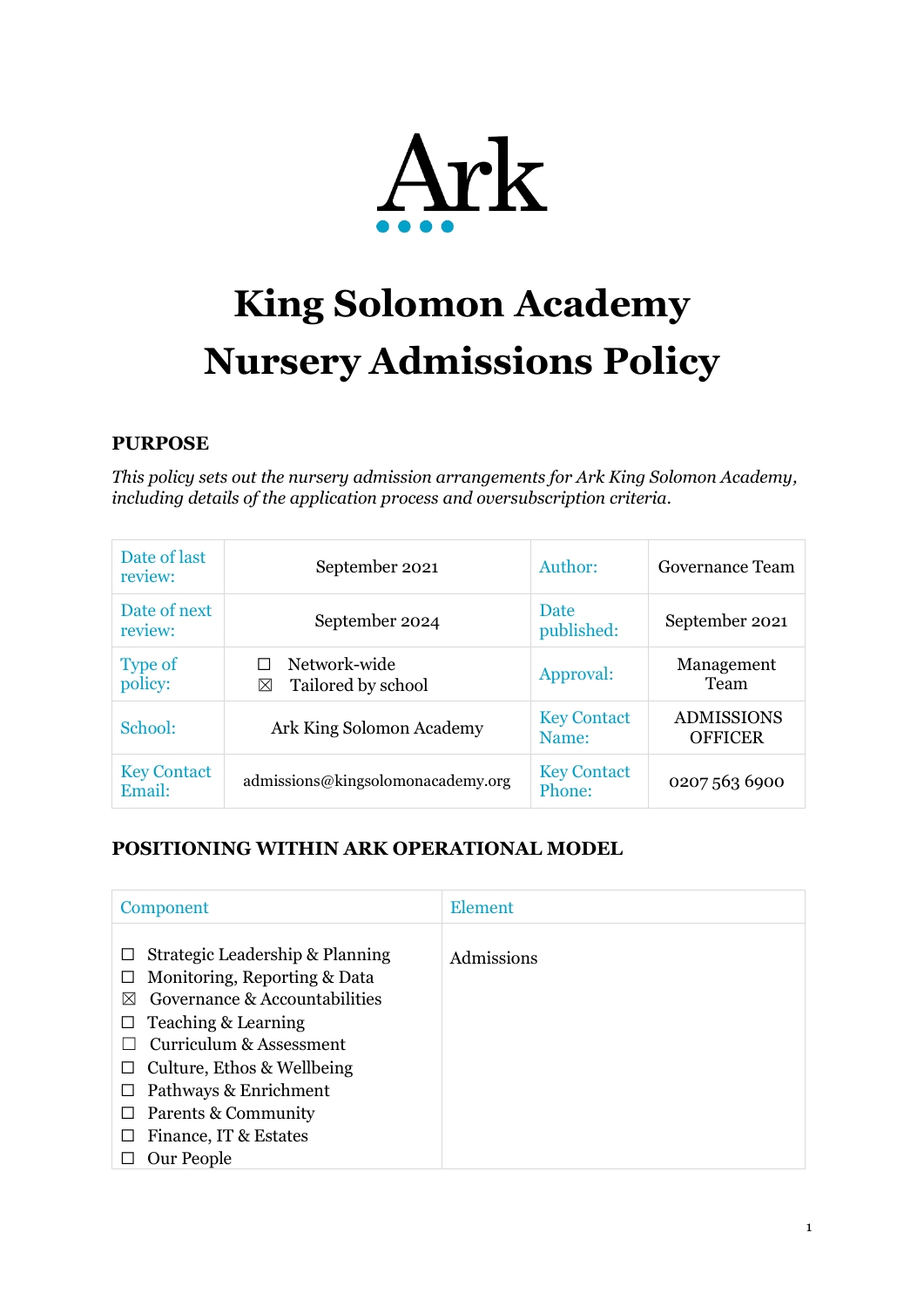

# **King Solomon Academy Nursery Admissions Policy**

## **PURPOSE**

*This policy sets out the nursery admission arrangements for Ark King Solomon Academy, including details of the application process and oversubscription criteria.*

| Date of last<br>review:      | September 2021                          | Author:                      | Governance Team                     |
|------------------------------|-----------------------------------------|------------------------------|-------------------------------------|
| Date of next<br>review:      | September 2024                          | Date<br>published:           | September 2021                      |
| <b>Type of</b><br>policy:    | Network-wide<br>Tailored by school<br>⊠ | Approval:                    | Management<br>Team                  |
| School:                      | Ark King Solomon Academy                | <b>Key Contact</b><br>Name:  | <b>ADMISSIONS</b><br><b>OFFICER</b> |
| <b>Key Contact</b><br>Email: | admissions@kingsolomonacademy.org       | <b>Key Contact</b><br>Phone: | 0207 563 6900                       |

# **POSITIONING WITHIN ARK OPERATIONAL MODEL**

| Component                                                                                                                                                                                                                                                                                                  | <b>Element</b> |
|------------------------------------------------------------------------------------------------------------------------------------------------------------------------------------------------------------------------------------------------------------------------------------------------------------|----------------|
| Strategic Leadership & Planning<br>ப<br>Monitoring, Reporting & Data<br>ப<br>Governance & Accountabilities<br>⋈<br>Teaching & Learning<br>ப<br>Curriculum & Assessment<br>Culture, Ethos & Wellbeing<br>ப<br>Pathways & Enrichment<br>ப<br>Parents & Community<br>ப<br>Finance, IT & Estates<br>Our People | Admissions     |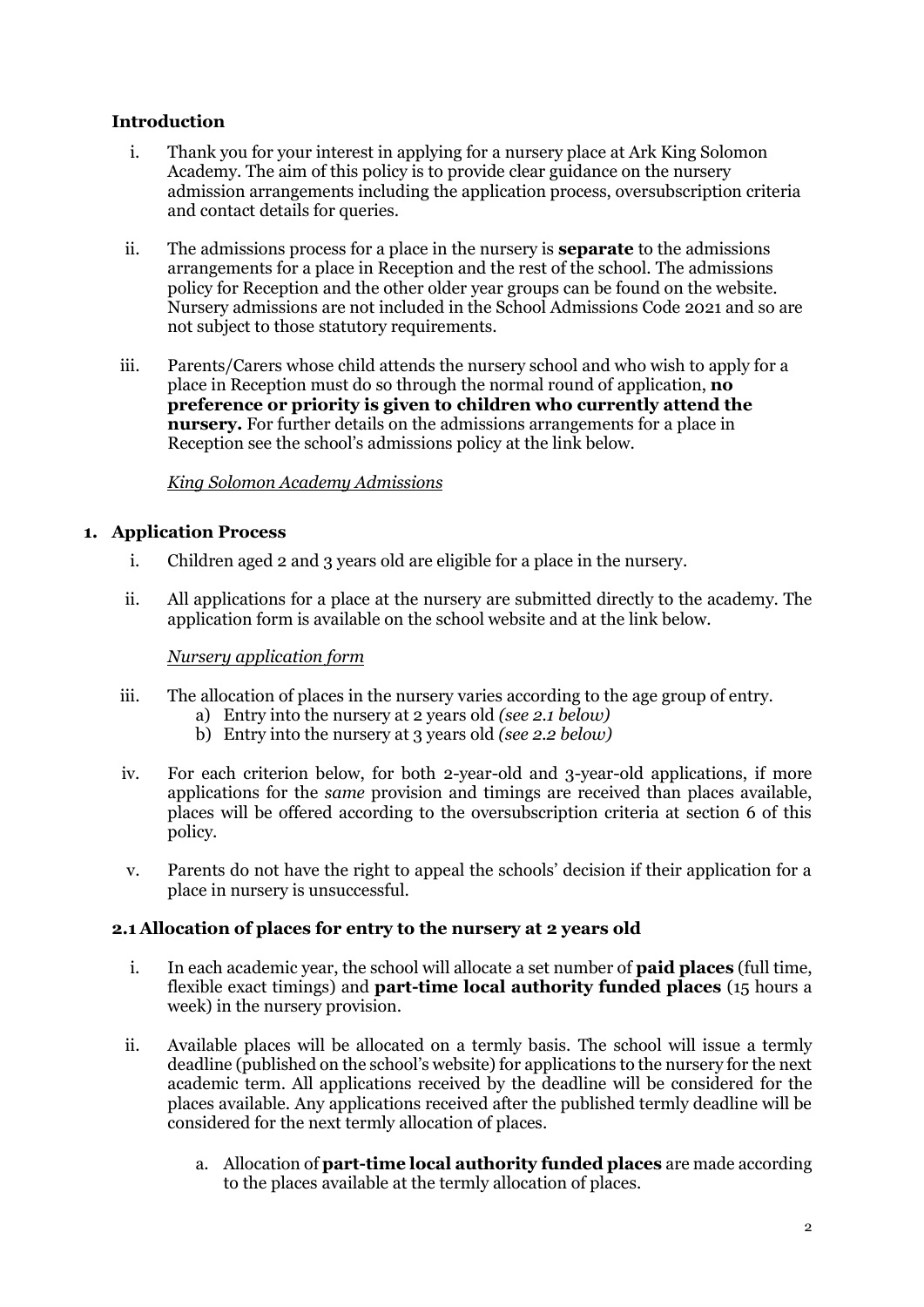#### **Introduction**

- i. Thank you for your interest in applying for a nursery place at Ark King Solomon Academy. The aim of this policy is to provide clear guidance on the nursery admission arrangements including the application process, oversubscription criteria and contact details for queries.
- ii. The admissions process for a place in the nursery is **separate** to the admissions arrangements for a place in Reception and the rest of the school. The admissions policy for Reception and the other older year groups can be found on the website. Nursery admissions are not included in the School Admissions Code 2021 and so are not subject to those statutory requirements.
- iii. Parents/Carers whose child attends the nursery school and who wish to apply for a place in Reception must do so through the normal round of application, **no preference or priority is given to children who currently attend the nursery.** For further details on the admissions arrangements for a place in Reception see the school's admissions policy at the link below.

#### *[King Solomon Academy Admissions](https://kingsolomonacademy.org/admissions)*

#### **1. Application Process**

- i. Children aged 2 and 3 years old are eligible for a place in the nursery.
- ii. All applications for a place at the nursery are submitted directly to the academy. The application form is available on the school website and at the link below.

#### *[Nursery application form](https://forms.office.com/Pages/ResponsePage.aspx?id=dBTLADSljUaCn2NuzjLCTB3bfJ2eQuVFjoRqfmvgdCNUQkUyTzhVMkdSM0xUWTE4UzRXUEtGNDVFUC4u)*

- iii. The allocation of places in the nursery varies according to the age group of entry.
	- a) Entry into the nursery at 2 years old *(see 2.1 below)*
	- b) Entry into the nursery at 3 years old *(see 2.2 below)*
- iv. For each criterion below, for both 2-year-old and 3-year-old applications, if more applications for the *same* provision and timings are received than places available, places will be offered according to the oversubscription criteria at section 6 of this policy.
- v. Parents do not have the right to appeal the schools' decision if their application for a place in nursery is unsuccessful.

#### **2.1 Allocation of places for entry to the nursery at 2 years old**

- i. In each academic year, the school will allocate a set number of **paid places** (full time, flexible exact timings) and **part-time local authority funded places** (15 hours a week) in the nursery provision.
- ii. Available places will be allocated on a termly basis. The school will issue a termly deadline (published on the school's website) for applications to the nursery for the next academic term. All applications received by the deadline will be considered for the places available. Any applications received after the published termly deadline will be considered for the next termly allocation of places.
	- a. Allocation of **part-time local authority funded places** are made according to the places available at the termly allocation of places.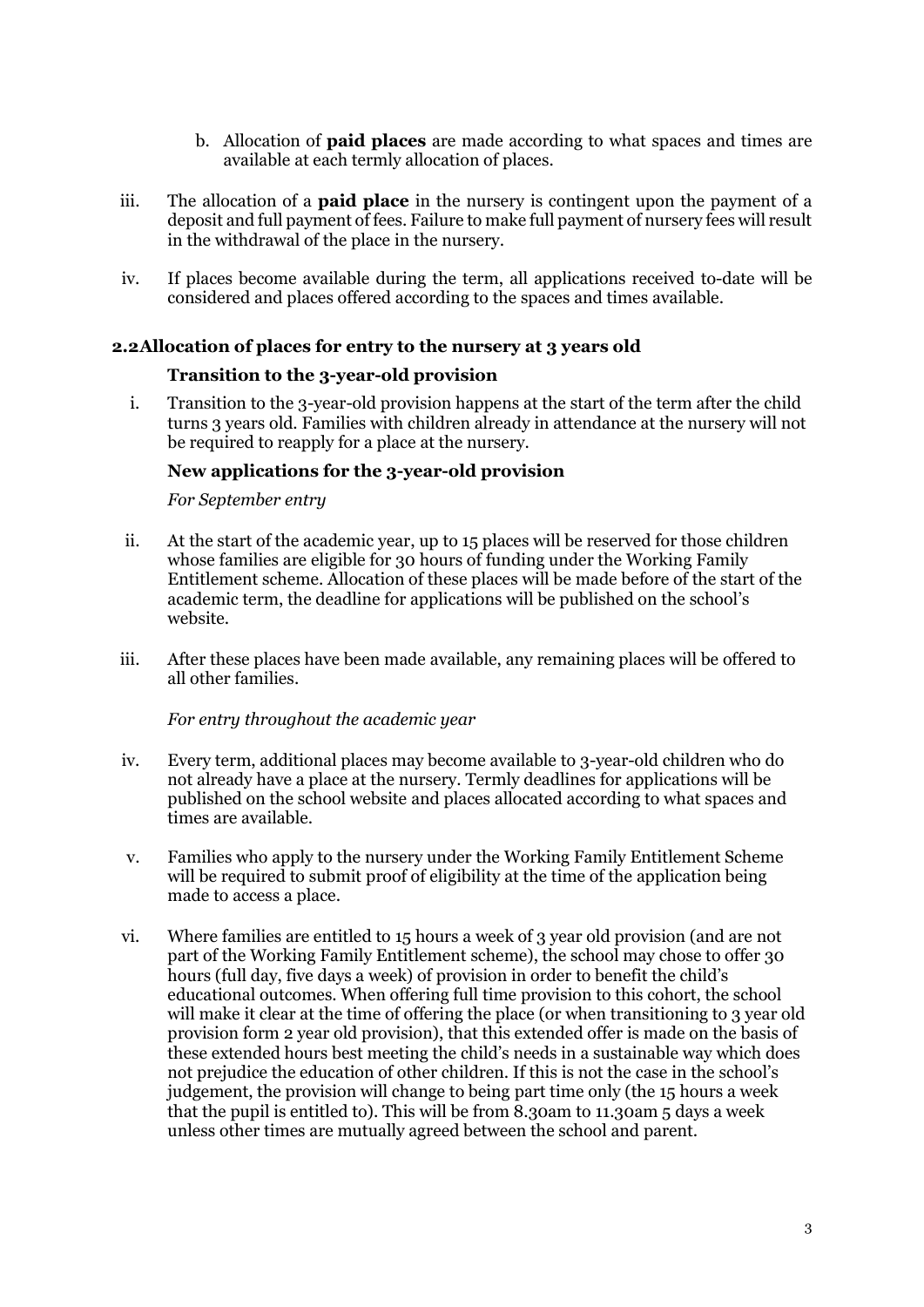- b. Allocation of **paid places** are made according to what spaces and times are available at each termly allocation of places.
- iii. The allocation of a **paid place** in the nursery is contingent upon the payment of a deposit and full payment of fees. Failure to make full payment of nursery fees will result in the withdrawal of the place in the nursery.
- iv. If places become available during the term, all applications received to-date will be considered and places offered according to the spaces and times available.

#### **2.2Allocation of places for entry to the nursery at 3 years old**

#### **Transition to the 3-year-old provision**

i. Transition to the 3-year-old provision happens at the start of the term after the child turns 3 years old. Families with children already in attendance at the nursery will not be required to reapply for a place at the nursery.

#### **New applications for the 3-year-old provision**

*For September entry*

- ii. At the start of the academic year, up to 15 places will be reserved for those children whose families are eligible for 30 hours of funding under the Working Family Entitlement scheme. Allocation of these places will be made before of the start of the academic term, the deadline for applications will be published on the school's website.
- iii. After these places have been made available, any remaining places will be offered to all other families.

*For entry throughout the academic year*

- iv. Every term, additional places may become available to 3-year-old children who do not already have a place at the nursery. Termly deadlines for applications will be published on the school website and places allocated according to what spaces and times are available.
- v. Families who apply to the nursery under the Working Family Entitlement Scheme will be required to submit proof of eligibility at the time of the application being made to access a place.
- vi. Where families are entitled to 15 hours a week of 3 year old provision (and are not part of the Working Family Entitlement scheme), the school may chose to offer 30 hours (full day, five days a week) of provision in order to benefit the child's educational outcomes. When offering full time provision to this cohort, the school will make it clear at the time of offering the place (or when transitioning to 3 year old provision form 2 year old provision), that this extended offer is made on the basis of these extended hours best meeting the child's needs in a sustainable way which does not prejudice the education of other children. If this is not the case in the school's judgement, the provision will change to being part time only (the 15 hours a week that the pupil is entitled to). This will be from 8.30am to 11.30am 5 days a week unless other times are mutually agreed between the school and parent.